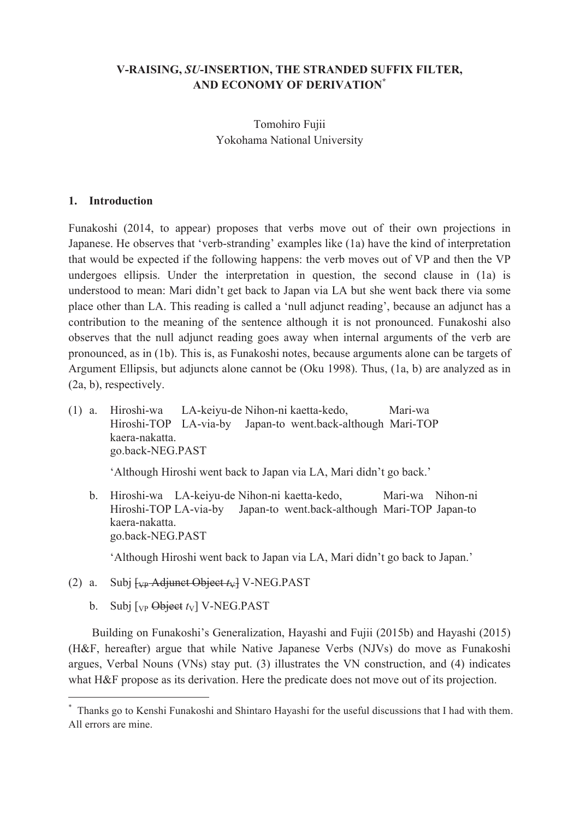## **V-RAISING,** *SU***-INSERTION, THE STRANDED SUFFIX FILTER, AND ECONOMY OF DERIVATION\***

Tomohiro Fujii Yokohama National University

### **1. Introduction**

Funakoshi (2014, to appear) proposes that verbs move out of their own projections in Japanese. He observes that 'verb-stranding' examples like (1a) have the kind of interpretation that would be expected if the following happens: the verb moves out of VP and then the VP undergoes ellipsis. Under the interpretation in question, the second clause in (1a) is understood to mean: Mari didn't get back to Japan via LA but she went back there via some place other than LA. This reading is called a 'null adjunct reading', because an adjunct has a contribution to the meaning of the sentence although it is not pronounced. Funakoshi also observes that the null adjunct reading goes away when internal arguments of the verb are pronounced, as in (1b). This is, as Funakoshi notes, because arguments alone can be targets of Argument Ellipsis, but adjuncts alone cannot be (Oku 1998). Thus, (1a, b) are analyzed as in (2a, b), respectively.

(1) a. Hiroshi-wa LA-keiyu-de Nihon-ni kaetta-kedo, Mari-wa Hiroshi-TOP LA-via-by Japan-to went.back-although Mari-TOP kaera-nakatta. go.back-NEG.PAST

'Although Hiroshi went back to Japan via LA, Mari didn't go back.'

 b. Hiroshi-wa LA-keiyu-de Nihon-ni kaetta-kedo, Mari-wa Nihon-ni Hiroshi-TOP LA-via-by Japan-to went.back-although Mari-TOP Japan-to kaera-nakatta. go.back-NEG.PAST

'Although Hiroshi went back to Japan via LA, Mari didn't go back to Japan.'

- (2) a. Subj  $\frac{L_{\text{VP}}}{L_{\text{VP}}}$  Adjunct Object  $t_{\text{V}}$  V-NEG.PAST
	- b. Subj  $[v_P \Theta$ bject  $t_V$ ] V-NEG.PAST

 $\overline{a}$ 

 Building on Funakoshi's Generalization, Hayashi and Fujii (2015b) and Hayashi (2015) (H&F, hereafter) argue that while Native Japanese Verbs (NJVs) do move as Funakoshi argues, Verbal Nouns (VNs) stay put. (3) illustrates the VN construction, and (4) indicates what H&F propose as its derivation. Here the predicate does not move out of its projection.

<sup>\*</sup> Thanks go to Kenshi Funakoshi and Shintaro Hayashi for the useful discussions that I had with them. All errors are mine.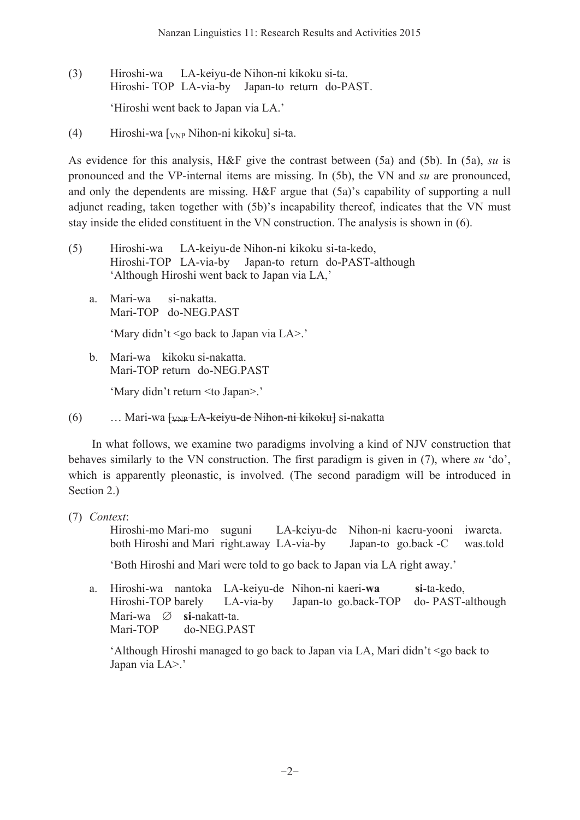- (3) Hiroshi-wa LA-keiyu-de Nihon-ni kikoku si-ta. Hiroshi- TOP LA-via-by Japan-to return do-PAST. 'Hiroshi went back to Japan via LA.'
- (4) Hiroshi-wa [VNP Nihon-ni kikoku] si-ta.

As evidence for this analysis, H&F give the contrast between (5a) and (5b). In (5a), *su* is pronounced and the VP-internal items are missing. In (5b), the VN and *su* are pronounced, and only the dependents are missing. H&F argue that (5a)'s capability of supporting a null adjunct reading, taken together with (5b)'s incapability thereof, indicates that the VN must stay inside the elided constituent in the VN construction. The analysis is shown in (6).

- (5) Hiroshi-wa LA-keiyu-de Nihon-ni kikoku si-ta-kedo, Hiroshi-TOP LA-via-by Japan-to return do-PAST-although 'Although Hiroshi went back to Japan via LA,'
	- a. Mari-wa si-nakatta. Mari-TOP do-NEG.PAST

'Mary didn't <go back to Japan via LA>.'

 b. Mari-wa kikoku si-nakatta. Mari-TOP return do-NEG.PAST

'Mary didn't return <to Japan>.'

(6) … Mari-wa [VNP LA-keiyu-de Nihon-ni kikoku] si-nakatta

 In what follows, we examine two paradigms involving a kind of NJV construction that behaves similarly to the VN construction. The first paradigm is given in (7), where *su* 'do', which is apparently pleonastic, is involved. (The second paradigm will be introduced in Section 2.)

(7) *Context*:

Hiroshi-mo Mari-mo suguni LA-keiyu-de Nihon-ni kaeru-yooni iwareta. both Hiroshi and Mari right.away LA-via-by Japan-to go.back -C was.told

'Both Hiroshi and Mari were told to go back to Japan via LA right away.'

 a. Hiroshi-wa nantoka LA-keiyu-de Nihon-ni kaeri-**wa si**-ta-kedo, Hiroshi-TOP barely LA-via-by Japan-to go.back-TOP do- PAST-although Mari-wa ∅ **si**-nakatt-ta. Mari-TOP do-NEG.PAST

 'Although Hiroshi managed to go back to Japan via LA, Mari didn't <go back to Japan via LA>.'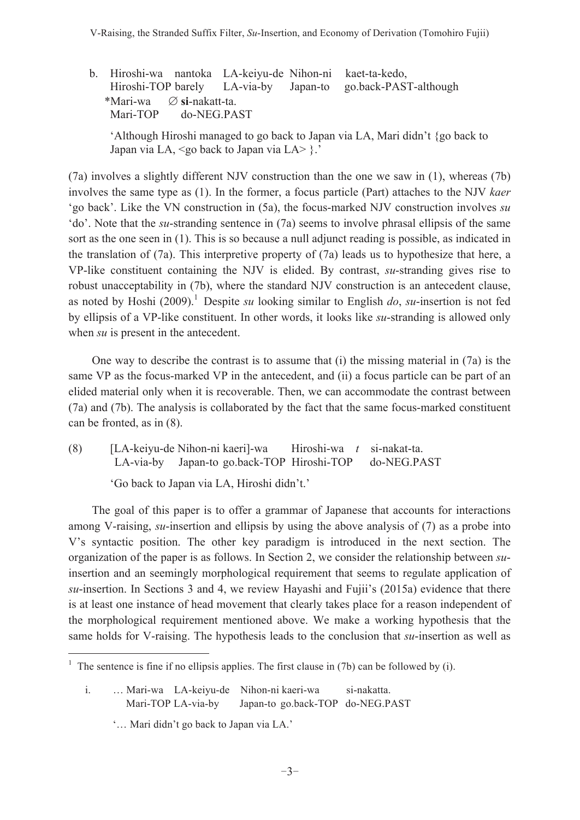b. Hiroshi-wa nantoka LA-keiyu-de Nihon-ni kaet-ta-kedo, Hiroshi-TOP barely LA-via-by Japan-to go.back-PAST-although \*Mari-wa ∅ **si**-nakatt-ta. Mari-TOP do-NEG.PAST

 'Although Hiroshi managed to go back to Japan via LA, Mari didn't {go back to Japan via LA, <go back to Japan via LA> }.'

(7a) involves a slightly different NJV construction than the one we saw in (1), whereas (7b) involves the same type as (1). In the former, a focus particle (Part) attaches to the NJV *kaer* 'go back'. Like the VN construction in (5a), the focus-marked NJV construction involves *su* 'do'. Note that the *su*-stranding sentence in (7a) seems to involve phrasal ellipsis of the same sort as the one seen in (1). This is so because a null adjunct reading is possible, as indicated in the translation of (7a). This interpretive property of (7a) leads us to hypothesize that here, a VP-like constituent containing the NJV is elided. By contrast, *su*-stranding gives rise to robust unacceptability in (7b), where the standard NJV construction is an antecedent clause, as noted by Hoshi (2009).<sup>1</sup> Despite *su* looking similar to English *do*, *su*-insertion is not fed by ellipsis of a VP-like constituent. In other words, it looks like *su*-stranding is allowed only when *su* is present in the antecedent.

 One way to describe the contrast is to assume that (i) the missing material in (7a) is the same VP as the focus-marked VP in the antecedent, and (ii) a focus particle can be part of an elided material only when it is recoverable. Then, we can accommodate the contrast between (7a) and (7b). The analysis is collaborated by the fact that the same focus-marked constituent can be fronted, as in (8).

(8) [LA-keiyu-de Nihon-ni kaeri]-wa Hiroshi-wa *t* si-nakat-ta. LA-via-by Japan-to go.back-TOP Hiroshi-TOP do-NEG.PAST

'Go back to Japan via LA, Hiroshi didn't.'

 The goal of this paper is to offer a grammar of Japanese that accounts for interactions among V-raising, *su*-insertion and ellipsis by using the above analysis of (7) as a probe into V's syntactic position. The other key paradigm is introduced in the next section. The organization of the paper is as follows. In Section 2, we consider the relationship between *su*insertion and an seemingly morphological requirement that seems to regulate application of *su*-insertion. In Sections 3 and 4, we review Hayashi and Fujii's (2015a) evidence that there is at least one instance of head movement that clearly takes place for a reason independent of the morphological requirement mentioned above. We make a working hypothesis that the same holds for V-raising. The hypothesis leads to the conclusion that *su*-insertion as well as

 $\overline{a}$ 

<sup>1</sup> The sentence is fine if no ellipsis applies. The first clause in (7b) can be followed by (i).

i. … Mari-wa LA-keiyu-de Nihon-ni kaeri-wa si-nakatta. Mari-TOP LA-via-by Japan-to go.back-TOP do-NEG.PAST

 <sup>&#</sup>x27;… Mari didn't go back to Japan via LA.'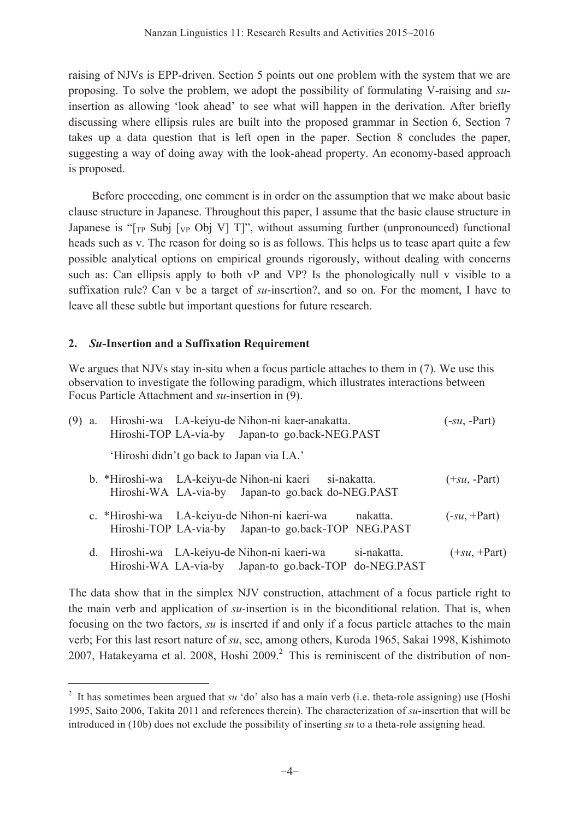raising of NJVs is EPP-driven. Section 5 points out one problem with the system that we are proposing. To solve the problem, we adopt the possibility of formulating V-raising and *su*insertion as allowing 'look ahead' to see what will happen in the derivation. After briefly discussing where ellipsis rules are built into the proposed grammar in Section 6, Section 7 takes up a data question that is left open in the paper. Section 8 concludes the paper, suggesting a way of doing away with the look-ahead property. An economy-based approach is proposed.

 Before proceeding, one comment is in order on the assumption that we make about basic clause structure in Japanese. Throughout this paper, I assume that the basic clause structure in Japanese is " $[<sub>TP</sub> Subj [<sub>VP</sub> Obj V] T]$ ", without assuming further (unpronounced) functional heads such as v. The reason for doing so is as follows. This helps us to tease apart quite a few possible analytical options on empirical grounds rigorously, without dealing with concerns such as: Can ellipsis apply to both vP and VP? Is the phonologically null v visible to a suffixation rule? Can v be a target of *su*-insertion?, and so on. For the moment, I have to leave all these subtle but important questions for future research.

## **2.** *Su***-Insertion and a Suffixation Requirement**

 $\overline{a}$ 

We argues that NJVs stay in-situ when a focus particle attaches to them in (7). We use this observation to investigate the following paradigm, which illustrates interactions between Focus Particle Attachment and *su*-insertion in (9).

| (9) | a. | Hiroshi-wa LA-keiyu-de Nihon-ni kaer-anakatta.        |                                           | Hiroshi-TOP LA-via-by Japan-to go.back-NEG.PAST     |                                                                      | $(-su, -Part)$ |
|-----|----|-------------------------------------------------------|-------------------------------------------|-----------------------------------------------------|----------------------------------------------------------------------|----------------|
|     |    |                                                       | 'Hiroshi didn't go back to Japan via LA.' |                                                     |                                                                      |                |
|     |    | b. *Hiroshi-wa LA-keiyu-de Nihon-ni kaeri si-nakatta. |                                           | Hiroshi-WA LA-via-by Japan-to go.back do-NEG.PAST   |                                                                      | $(+su, -Part)$ |
|     |    | c. *Hiroshi-wa LA-keiyu-de Nihon-ni kaeri-wa          |                                           | Hiroshi-TOP LA-via-by Japan-to go.back-TOP NEG.PAST | nakatta.                                                             | $(-su, +Part)$ |
|     | d. | Hiroshi-wa LA-keiyu-de Nihon-ni kaeri-wa              |                                           |                                                     | si-nakatta.<br>Hiroshi-WA LA-via-by Japan-to go.back-TOP do-NEG.PAST | $(+su, +Part)$ |

The data show that in the simplex NJV construction, attachment of a focus particle right to the main verb and application of *su-*insertion is in the biconditional relation. That is, when focusing on the two factors, *su* is inserted if and only if a focus particle attaches to the main verb; For this last resort nature of *su*, see, among others, Kuroda 1965, Sakai 1998, Kishimoto 2007, Hatakeyama et al. 2008, Hoshi 2009. $^2$  This is reminiscent of the distribution of non-

<sup>&</sup>lt;sup>2</sup> It has sometimes been argued that *su* 'do' also has a main verb (i.e. theta-role assigning) use (Hoshi 1995, Saito 2006, Takita 2011 and references therein). The characterization of *su*-insertion that will be introduced in (10b) does not exclude the possibility of inserting *su* to a theta-role assigning head.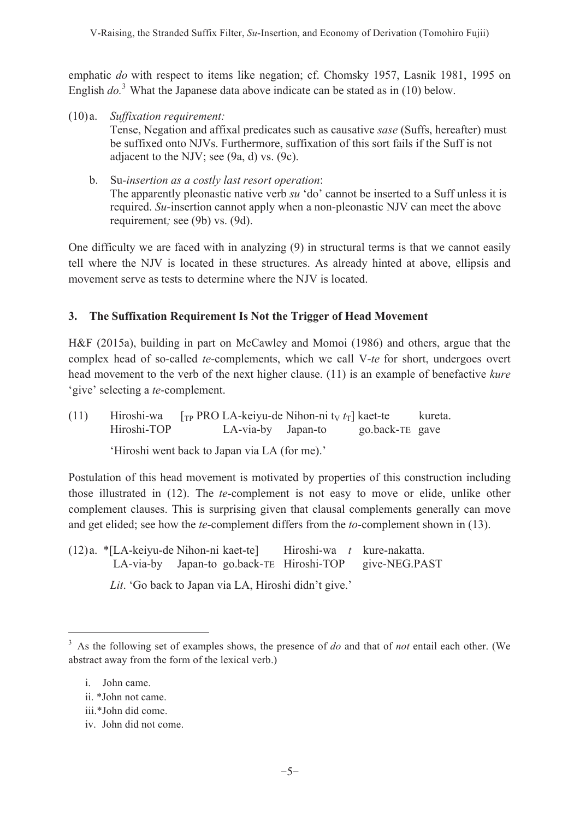emphatic *do* with respect to items like negation; cf. Chomsky 1957, Lasnik 1981, 1995 on English  $do^3$ . What the Japanese data above indicate can be stated as in (10) below.

- (10) a. *Suffixation requirement:*  Tense, Negation and affixal predicates such as causative *sase* (Suffs, hereafter) must be suffixed onto NJVs. Furthermore, suffixation of this sort fails if the Suff is not adjacent to the NJV; see (9a, d) vs. (9c).
	- b. Su*-insertion as a costly last resort operation*: The apparently pleonastic native verb *su* 'do' cannot be inserted to a Suff unless it is required. *Su*-insertion cannot apply when a non-pleonastic NJV can meet the above requirement*;* see (9b) vs. (9d).

One difficulty we are faced with in analyzing (9) in structural terms is that we cannot easily tell where the NJV is located in these structures. As already hinted at above, ellipsis and movement serve as tests to determine where the NJV is located.

## **3. The Suffixation Requirement Is Not the Trigger of Head Movement**

H&F (2015a), building in part on McCawley and Momoi (1986) and others, argue that the complex head of so-called *te*-complements, which we call V-*te* for short, undergoes overt head movement to the verb of the next higher clause. (11) is an example of benefactive *kure* 'give' selecting a *te*-complement.

(11) Hiroshi-wa  $\int_{\text{TP}}$  PRO LA-keiyu-de Nihon-ni t<sub>V</sub>  $t_T$ ] kaet-te kureta. Hiroshi-TOP LA-via-by Japan-to go.back-TE gave

'Hiroshi went back to Japan via LA (for me).'

Postulation of this head movement is motivated by properties of this construction including those illustrated in (12). The *te-*complement is not easy to move or elide, unlike other complement clauses. This is surprising given that clausal complements generally can move and get elided; see how the *te*-complement differs from the *to*-complement shown in (13).

(12) a. \*[LA-keiyu-de Nihon-ni kaet-te] Hiroshi-wa *t* kure-nakatta. LA-via-by Japan-to go.back-TE Hiroshi-TOP give-NEG.PAST

*Lit*. 'Go back to Japan via LA, Hiroshi didn't give.'

 $\overline{a}$ 

iv. John did not come.

<sup>3</sup> As the following set of examples shows, the presence of *do* and that of *not* entail each other. (We abstract away from the form of the lexical verb.)

i. John came.

ii. \*John not came.

iii.\*John did come.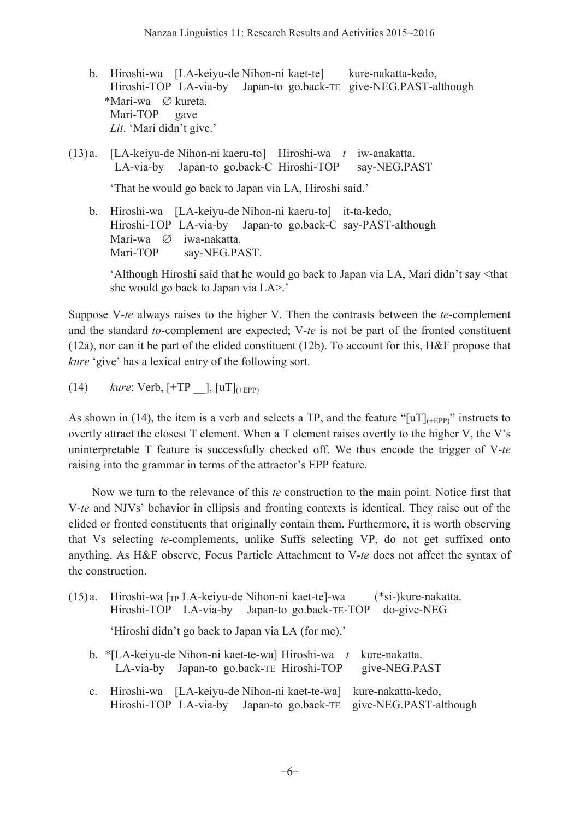- b. Hiroshi-wa [LA-keiyu-de Nihon-ni kaet-te] kure-nakatta-kedo, Hiroshi-TOP LA-via-by Japan-to go.back-TE give-NEG.PAST-although \*Mari-wa ∅ kureta. Mari-TOP gave *Lit*. 'Mari didn't give.'
- (13) a. [LA-keiyu-de Nihon-ni kaeru-to] Hiroshi-wa *t* iw-anakatta. LA-via-by Japan-to go.back-C Hiroshi-TOP say-NEG.PAST

'That he would go back to Japan via LA, Hiroshi said.'

 b. Hiroshi-wa [LA-keiyu-de Nihon-ni kaeru-to] it-ta-kedo, Hiroshi-TOP LA-via-by Japan-to go.back-C say-PAST-although Mari-wa ∅ iwa-nakatta.<br>Mari-TOP sav-NEG.PA say-NEG.PAST.

 'Although Hiroshi said that he would go back to Japan via LA, Mari didn't say <that she would go back to Japan via LA>.'

Suppose V-*te* always raises to the higher V. Then the contrasts between the *te*-complement and the standard *to*-complement are expected; V-*te* is not be part of the fronted constituent (12a), nor can it be part of the elided constituent (12b). To account for this, H&F propose that *kure* 'give' has a lexical entry of the following sort.

(14) *kure*: Verb, [+TP \_\_], [uT](+EPP)

As shown in (14), the item is a verb and selects a TP, and the feature "[uT] $_{(+EPP)}$ " instructs to overtly attract the closest T element. When a T element raises overtly to the higher V, the V's uninterpretable T feature is successfully checked off. We thus encode the trigger of V-*te* raising into the grammar in terms of the attractor's EPP feature.

 Now we turn to the relevance of this *te* construction to the main point. Notice first that V-*te* and NJVs' behavior in ellipsis and fronting contexts is identical. They raise out of the elided or fronted constituents that originally contain them. Furthermore, it is worth observing that Vs selecting *te*-complements, unlike Suffs selecting VP, do not get suffixed onto anything. As H&F observe, Focus Particle Attachment to V-*te* does not affect the syntax of the construction.

| (15)a. | Hiroshi-wa $\lceil_{\text{TP}}$ LA-keiyu-de Nihon-ni kaet-te]-wa<br>(*si-)kure-nakatta.<br>do-give-NEG<br>Hiroshi-TOP LA-via-by Japan-to go.back-TE-TOP |  |  |  |  |  |
|--------|---------------------------------------------------------------------------------------------------------------------------------------------------------|--|--|--|--|--|
|        | 'Hiroshi didn't go back to Japan via LA (for me).'                                                                                                      |  |  |  |  |  |
|        | b. * [LA-keiyu-de Nihon-ni kaet-te-wa] Hiroshi-wa $t$<br>kure-nakatta.<br>LA-via-by Japan-to go.back-TE Hiroshi-TOP<br>give-NEG.PAST                    |  |  |  |  |  |
|        | c. Hiroshi-wa [LA-keiyu-de Nihon-ni kaet-te-wa]<br>kure-nakatta-kedo,<br>Hiroshi-TOP LA-via-by Japan-to go.back-TE give-NEG.PAST-although               |  |  |  |  |  |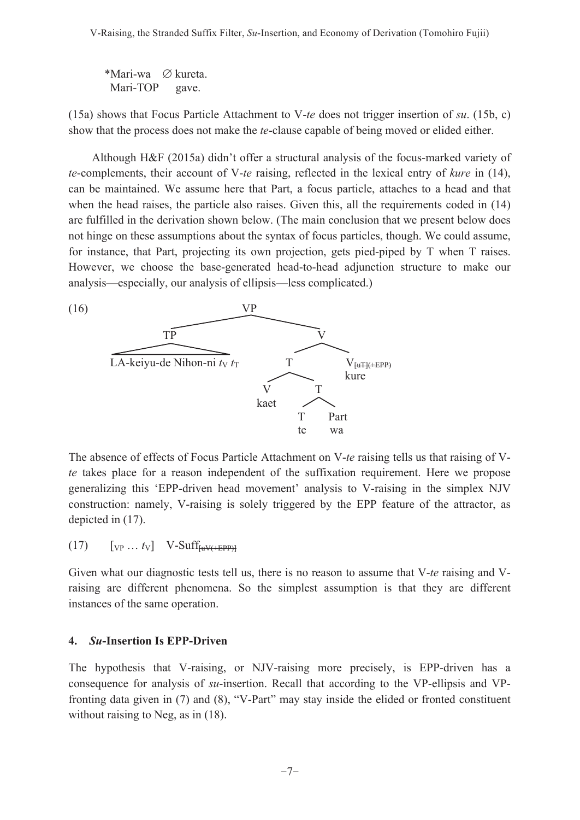\*Mari-wa ∅ kureta. Mari-TOP gave.

(15a) shows that Focus Particle Attachment to V-*te* does not trigger insertion of *su*. (15b, c) show that the process does not make the *te*-clause capable of being moved or elided either.

 Although H&F (2015a) didn't offer a structural analysis of the focus-marked variety of *te*-complements, their account of V-*te* raising, reflected in the lexical entry of *kure* in (14), can be maintained. We assume here that Part, a focus particle, attaches to a head and that when the head raises, the particle also raises. Given this, all the requirements coded in (14) are fulfilled in the derivation shown below. (The main conclusion that we present below does not hinge on these assumptions about the syntax of focus particles, though. We could assume, for instance, that Part, projecting its own projection, gets pied-piped by T when T raises. However, we choose the base-generated head-to-head adjunction structure to make our analysis—especially, our analysis of ellipsis—less complicated.)



The absence of effects of Focus Particle Attachment on V-*te* raising tells us that raising of V*te* takes place for a reason independent of the suffixation requirement. Here we propose generalizing this 'EPP-driven head movement' analysis to V-raising in the simplex NJV construction: namely, V-raising is solely triggered by the EPP feature of the attractor, as depicted in (17).

 $(17)$   $[vP ... tv]$  V-Suff<sub>[uV(+EPP)]</sub>

Given what our diagnostic tests tell us, there is no reason to assume that V-*te* raising and Vraising are different phenomena. So the simplest assumption is that they are different instances of the same operation.

## **4.** *Su***-Insertion Is EPP-Driven**

The hypothesis that V-raising, or NJV-raising more precisely, is EPP-driven has a consequence for analysis of *su*-insertion. Recall that according to the VP-ellipsis and VPfronting data given in (7) and (8), "V-Part" may stay inside the elided or fronted constituent without raising to Neg, as in (18).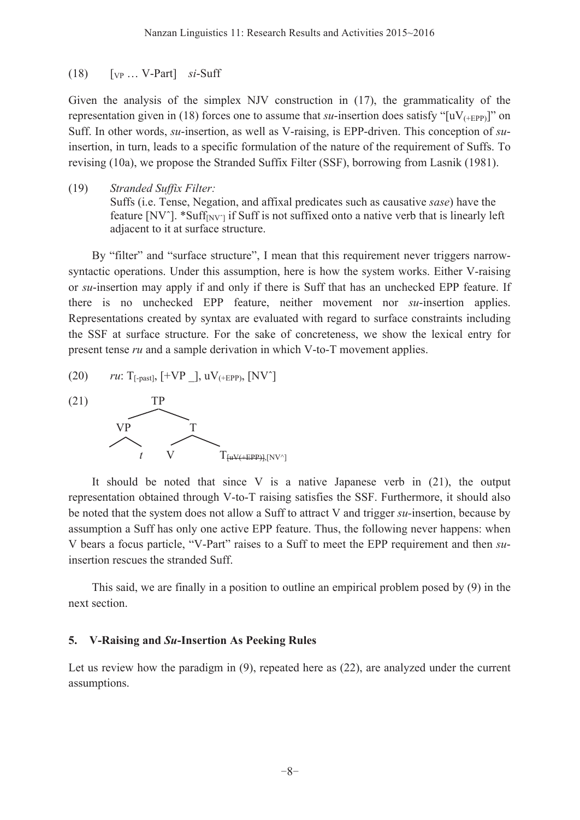#### (18) [VP … V-Part] *si*-Suff

Given the analysis of the simplex NJV construction in (17), the grammaticality of the representation given in (18) forces one to assume that  $su$ -insertion does satisfy " $[uV_{(+EPP)}]$ " on Suff. In other words, *su*-insertion, as well as V-raising, is EPP-driven. This conception of *su*insertion, in turn, leads to a specific formulation of the nature of the requirement of Suffs. To revising (10a), we propose the Stranded Suffix Filter (SSF), borrowing from Lasnik (1981).

(19) *Stranded Suffix Filter:*

Suffs (i.e. Tense, Negation, and affixal predicates such as causative *sase*) have the feature  $\text{[NV\text{'}]}$ . \*Suff $\text{[NV\text{'}]}$  if Suff is not suffixed onto a native verb that is linearly left adjacent to it at surface structure.

 By "filter" and "surface structure", I mean that this requirement never triggers narrowsyntactic operations. Under this assumption, here is how the system works. Either V-raising or *su*-insertion may apply if and only if there is Suff that has an unchecked EPP feature. If there is no unchecked EPP feature, neither movement nor *su*-insertion applies. Representations created by syntax are evaluated with regard to surface constraints including the SSF at surface structure. For the sake of concreteness, we show the lexical entry for present tense *ru* and a sample derivation in which V-to-T movement applies.

 $r\mu$ : T<sub>[-past]</sub>,  $[+VP \; ]$ ,  $uV$ <sub>(+EPP)</sub>,  $[NV^{\prime}]$ 



 It should be noted that since V is a native Japanese verb in (21), the output representation obtained through V-to-T raising satisfies the SSF. Furthermore, it should also be noted that the system does not allow a Suff to attract V and trigger *su-*insertion, because by assumption a Suff has only one active EPP feature. Thus, the following never happens: when V bears a focus particle, "V-Part" raises to a Suff to meet the EPP requirement and then *su*insertion rescues the stranded Suff.

 This said, we are finally in a position to outline an empirical problem posed by (9) in the next section.

### **5. V-Raising and** *Su***-Insertion As Peeking Rules**

Let us review how the paradigm in  $(9)$ , repeated here as  $(22)$ , are analyzed under the current assumptions.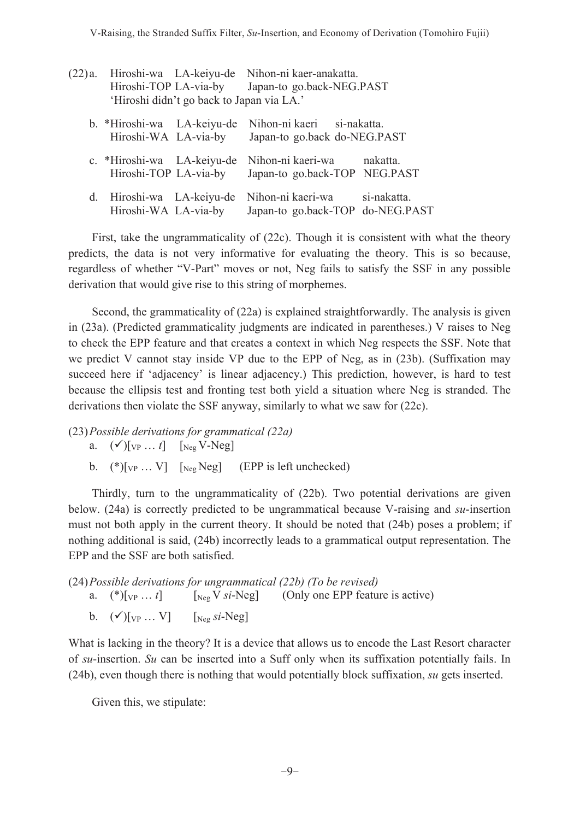| (22)a. | Hiroshi-TOP LA-via-by                               | 'Hiroshi didn't go back to Japan via LA.' | Hiroshi-wa LA-keiyu-de Nihon-ni kaer-anakatta.<br>Japan-to go.back-NEG.PAST |             |  |
|--------|-----------------------------------------------------|-------------------------------------------|-----------------------------------------------------------------------------|-------------|--|
|        | b. *Hiroshi-wa LA-keiyu-de<br>Hiroshi-WA LA-via-by  |                                           | Nihon-ni kaeri si-nakatta.<br>Japan-to go.back do-NEG.PAST                  |             |  |
|        | c. *Hiroshi-wa LA-keiyu-de<br>Hiroshi-TOP LA-via-by |                                           | Nihon-ni kaeri-wa<br>Japan-to go.back-TOP NEG.PAST                          | nakatta.    |  |
| d.     | Hiroshi-wa LA-keiyu-de<br>Hiroshi-WA LA-via-by      |                                           | Nihon-ni kaeri-wa<br>Japan-to go.back-TOP do-NEG.PAST                       | si-nakatta. |  |

 First, take the ungrammaticality of (22c). Though it is consistent with what the theory predicts, the data is not very informative for evaluating the theory. This is so because, regardless of whether "V-Part" moves or not, Neg fails to satisfy the SSF in any possible derivation that would give rise to this string of morphemes.

 Second, the grammaticality of (22a) is explained straightforwardly. The analysis is given in (23a). (Predicted grammaticality judgments are indicated in parentheses.) V raises to Neg to check the EPP feature and that creates a context in which Neg respects the SSF. Note that we predict V cannot stay inside VP due to the EPP of Neg, as in (23b). (Suffixation may succeed here if 'adjacency' is linear adjacency.) This prediction, however, is hard to test because the ellipsis test and fronting test both yield a situation where Neg is stranded. The derivations then violate the SSF anyway, similarly to what we saw for (22c).

(23) *Possible derivations for grammatical (22a)* a.  $({\checkmark})[_{VP} \dots t]$  [Neg V-Neg] b.  $(*)$ [<sub>VP</sub> ... V] [<sub>Neg</sub> Neg] (EPP is left unchecked)

 Thirdly, turn to the ungrammaticality of (22b). Two potential derivations are given below. (24a) is correctly predicted to be ungrammatical because V-raising and *su*-insertion must not both apply in the current theory. It should be noted that (24b) poses a problem; if nothing additional is said, (24b) incorrectly leads to a grammatical output representation. The EPP and the SSF are both satisfied.

(24) *Possible derivations for ungrammatical (22b) (To be revised)* a.  $(*)$ [ $_{VP}$  ... *t*] [Neg V *si*-Neg] (Only one EPP feature is active) b.  $(\checkmark)$ [<sub>VP</sub> ... V] [<sub>Neg</sub> *si*-Neg]

What is lacking in the theory? It is a device that allows us to encode the Last Resort character of *su*-insertion. *Su* can be inserted into a Suff only when its suffixation potentially fails. In (24b), even though there is nothing that would potentially block suffixation, *su* gets inserted.

Given this, we stipulate: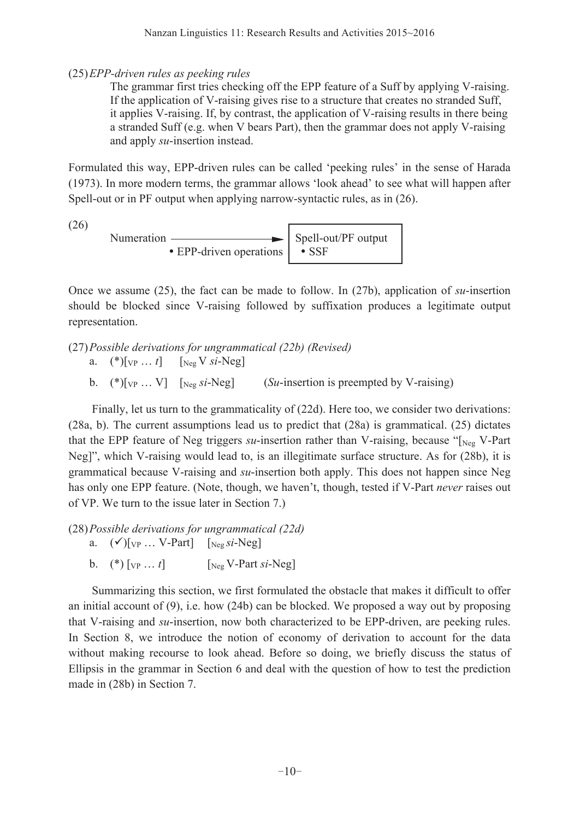(25) *EPP-driven rules as peeking rules*

 The grammar first tries checking off the EPP feature of a Suff by applying V-raising. If the application of V-raising gives rise to a structure that creates no stranded Suff, it applies V-raising. If, by contrast, the application of V-raising results in there being a stranded Suff (e.g. when V bears Part), then the grammar does not apply V-raising and apply *su*-insertion instead.

Formulated this way, EPP-driven rules can be called 'peeking rules' in the sense of Harada (1973). In more modern terms, the grammar allows 'look ahead' to see what will happen after Spell-out or in PF output when applying narrow-syntactic rules, as in (26).

(26)

Numeration Spell-out/PF output - EPP-driven operations -SSF

Once we assume (25), the fact can be made to follow. In (27b), application of *su*-insertion should be blocked since V-raising followed by suffixation produces a legitimate output representation.

- (27) *Possible derivations for ungrammatical (22b) (Revised)* a.  $(*)$ [<sub>VP</sub> ... *t*] [<sub>Neg</sub> V *si*-Neg]
	- b. (\*)[VP … V] [Neg *si*-Neg] (*Su*-insertion is preempted by V-raising)

 Finally, let us turn to the grammaticality of (22d). Here too, we consider two derivations: (28a, b). The current assumptions lead us to predict that (28a) is grammatical. (25) dictates that the EPP feature of Neg triggers *su*-insertion rather than V-raising, because "[Neg V-Part Neg]", which V-raising would lead to, is an illegitimate surface structure. As for (28b), it is grammatical because V-raising and *su*-insertion both apply. This does not happen since Neg has only one EPP feature. (Note, though, we haven't, though, tested if V-Part *never* raises out of VP. We turn to the issue later in Section 7.)

(28) *Possible derivations for ungrammatical (22d)* a.  $({\checkmark})[_{VP} \dots V\text{-Part}]$  [Neg *si*-Neg]

b. (\*)  $[v_P \dots t]$  [Neg V-Part *si*-Neg]

 Summarizing this section, we first formulated the obstacle that makes it difficult to offer an initial account of  $(9)$ , i.e. how  $(24b)$  can be blocked. We proposed a way out by proposing that V-raising and *su*-insertion, now both characterized to be EPP-driven, are peeking rules. In Section 8, we introduce the notion of economy of derivation to account for the data without making recourse to look ahead. Before so doing, we briefly discuss the status of Ellipsis in the grammar in Section 6 and deal with the question of how to test the prediction made in (28b) in Section 7.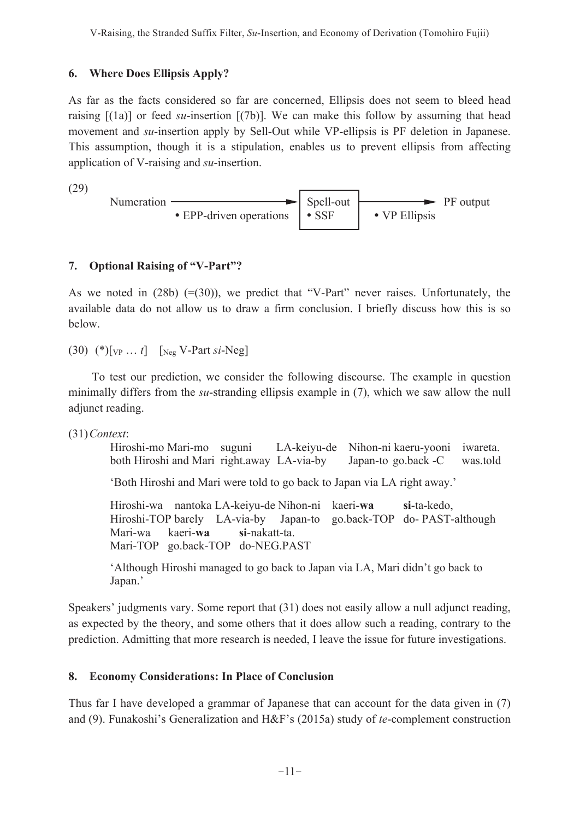## **6. Where Does Ellipsis Apply?**

As far as the facts considered so far are concerned, Ellipsis does not seem to bleed head raising  $[(1a)]$  or feed *su*-insertion  $[(7b)]$ . We can make this follow by assuming that head movement and *su*-insertion apply by Sell-Out while VP-ellipsis is PF deletion in Japanese. This assumption, though it is a stipulation, enables us to prevent ellipsis from affecting application of V-raising and *su*-insertion.

(29)



## **7. Optional Raising of "V-Part"?**

As we noted in  $(28b)$  (=(30)), we predict that "V-Part" never raises. Unfortunately, the available data do not allow us to draw a firm conclusion. I briefly discuss how this is so below.

(30) (\*)[VP … *t*] [Neg V-Part *si*-Neg]

 To test our prediction, we consider the following discourse. The example in question minimally differs from the *su*-stranding ellipsis example in (7), which we saw allow the null adjunct reading.

(31) *Context*:

Hiroshi-mo Mari-mo suguni LA-keiyu-de Nihon-ni kaeru-yooni iwareta. both Hiroshi and Mari right.away LA-via-by Japan-to go.back -C was.told 'Both Hiroshi and Mari were told to go back to Japan via LA right away.' Hiroshi-wa nantoka LA-keiyu-de Nihon-ni kaeri-**wa si**-ta-kedo, Hiroshi-TOP barely LA-via-by Japan-to go.back-TOP do- PAST-although Mari-wa kaeri-**wa si**-nakatt-ta. Mari-TOP go.back-TOP do-NEG.PAST

 'Although Hiroshi managed to go back to Japan via LA, Mari didn't go back to Japan.'

Speakers' judgments vary. Some report that (31) does not easily allow a null adjunct reading, as expected by the theory, and some others that it does allow such a reading, contrary to the prediction. Admitting that more research is needed, I leave the issue for future investigations.

# **8. Economy Considerations: In Place of Conclusion**

Thus far I have developed a grammar of Japanese that can account for the data given in (7) and (9). Funakoshi's Generalization and H&F's (2015a) study of *te*-complement construction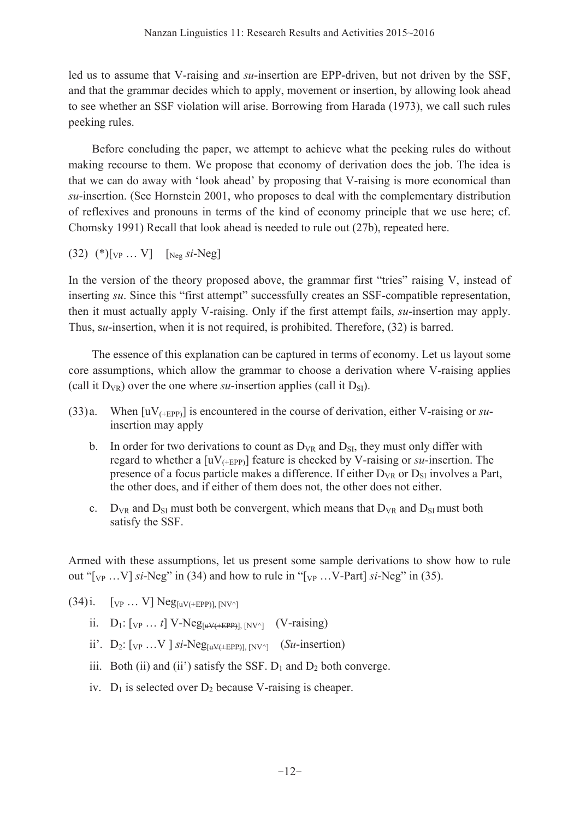led us to assume that V-raising and *su*-insertion are EPP-driven, but not driven by the SSF, and that the grammar decides which to apply, movement or insertion, by allowing look ahead to see whether an SSF violation will arise. Borrowing from Harada (1973), we call such rules peeking rules.

 Before concluding the paper, we attempt to achieve what the peeking rules do without making recourse to them. We propose that economy of derivation does the job. The idea is that we can do away with 'look ahead' by proposing that V-raising is more economical than *su*-insertion. (See Hornstein 2001, who proposes to deal with the complementary distribution of reflexives and pronouns in terms of the kind of economy principle that we use here; cf. Chomsky 1991) Recall that look ahead is needed to rule out (27b), repeated here.

(32) (\*)[VP … V] [Neg *si*-Neg]

In the version of the theory proposed above, the grammar first "tries" raising V, instead of inserting *su*. Since this "first attempt" successfully creates an SSF-compatible representation, then it must actually apply V-raising. Only if the first attempt fails, *su*-insertion may apply. Thus, s*u*-insertion, when it is not required, is prohibited. Therefore, (32) is barred.

 The essence of this explanation can be captured in terms of economy. Let us layout some core assumptions, which allow the grammar to choose a derivation where V-raising applies (call it  $D_{VR}$ ) over the one where *su*-insertion applies (call it  $D_{SI}$ ).

- (33) a. When [uV(+EPP)] is encountered in the course of derivation, either V-raising or *su*insertion may apply
	- b. In order for two derivations to count as  $D_{VR}$  and  $D_{SI}$ , they must only differ with regard to whether a  $[uV_{(+EPP)}]$  feature is checked by V-raising or *su*-insertion. The presence of a focus particle makes a difference. If either  $D_{VR}$  or  $D_{SI}$  involves a Part, the other does, and if either of them does not, the other does not either.
	- c.  $D_{VR}$  and  $D_{SI}$  must both be convergent, which means that  $D_{VR}$  and  $D_{SI}$  must both satisfy the SSF.

Armed with these assumptions, let us present some sample derivations to show how to rule out " $[v_P \dots V]$  *si*-Neg" in (34) and how to rule in " $[v_P \dots V\text{-Part}]$  *si*-Neg" in (35).

 $(34)$  i. [<sub>VP .</sub>.. V] Neg<sub>[uV(+EPP)], [NV^]</sub>

- ii.  $D_1: [V_P \dots t] V-Neg_{[uV(+EPP)], [NV^{\wedge}]} (V\text{-raising})$
- ii'.  $D_2$ :  $[v_P \dots V]$  *si*-Neg<sub>[uV(+EPP)],  $[NV^{\wedge}]$  (*Su*-insertion)</sub>
- iii. Both (ii) and (ii') satisfy the SSF.  $D_1$  and  $D_2$  both converge.
- iv.  $D_1$  is selected over  $D_2$  because V-raising is cheaper.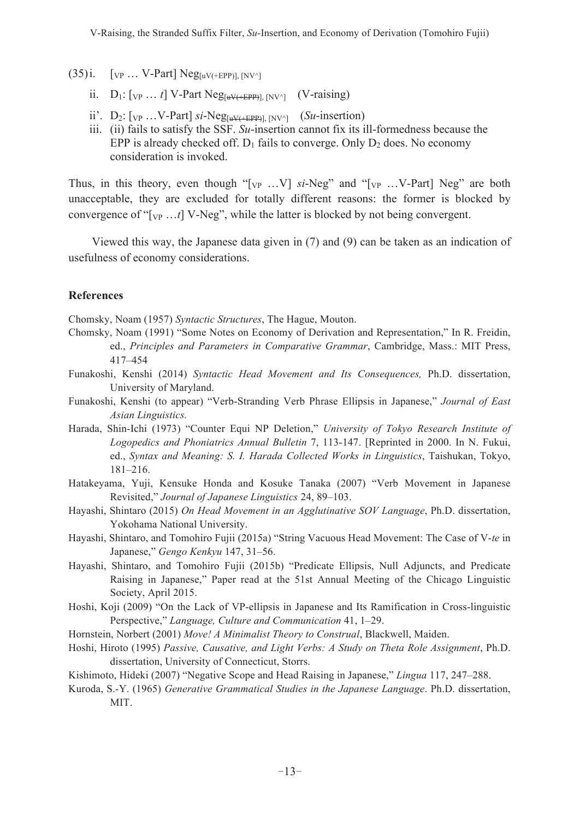- $(35)$ i.  $[vP_1 \ldots V\text{-}Part] Neg_{[uV(+EPP)], [NV^2]}$ 
	- ii.  $D_1$ :  $[v_P \dots t]$  V-Part Neg<sub>[uV(+EPP)</sub>],  $|N|V^{\wedge}$  (V-raising)
	- ii'.  $D_2$ :  $[v_P \dots V\text{-Part}]$  *si*-Neg<sub>[uV(+EPP)],  $|NV^{\wedge}|$  (*Su*-insertion)</sub>
	- iii. (ii) fails to satisfy the SSF. *Su*-insertion cannot fix its ill-formedness because the EPP is already checked off.  $D_1$  fails to converge. Only  $D_2$  does. No economy consideration is invoked.

Thus, in this theory, even though " $[v_P \dots V]$  *si*-Neg" and " $[v_P \dots V\text{-Part}]$  Neg" are both unacceptable, they are excluded for totally different reasons: the former is blocked by convergence of "[VP …*t*] V-Neg", while the latter is blocked by not being convergent.

 Viewed this way, the Japanese data given in (7) and (9) can be taken as an indication of usefulness of economy considerations.

#### **References**

Chomsky, Noam (1957) *Syntactic Structures*, The Hague, Mouton.

- Chomsky, Noam (1991) "Some Notes on Economy of Derivation and Representation," In R. Freidin, ed., *Principles and Parameters in Comparative Grammar*, Cambridge, Mass.: MIT Press, 417–454
- Funakoshi, Kenshi (2014) *Syntactic Head Movement and Its Consequences,* Ph.D. dissertation, University of Maryland.
- Funakoshi, Kenshi (to appear) "Verb-Stranding Verb Phrase Ellipsis in Japanese," *Journal of East Asian Linguistics.*
- Harada, Shin-Ichi (1973) "Counter Equi NP Deletion," *University of Tokyo Research Institute of Logopedics and Phoniatrics Annual Bulletin* 7, 113-147. [Reprinted in 2000. In N. Fukui, ed., *Syntax and Meaning: S. I. Harada Collected Works in Linguistics*, Taishukan, Tokyo, 181–216.
- Hatakeyama, Yuji, Kensuke Honda and Kosuke Tanaka (2007) "Verb Movement in Japanese Revisited," *Journal of Japanese Linguistics* 24, 89–103.
- Hayashi, Shintaro (2015) *On Head Movement in an Agglutinative SOV Language*, Ph.D. dissertation, Yokohama National University.
- Hayashi, Shintaro, and Tomohiro Fujii (2015a) "String Vacuous Head Movement: The Case of V-*te* in Japanese," *Gengo Kenkyu* 147, 31–56.
- Hayashi, Shintaro, and Tomohiro Fujii (2015b) "Predicate Ellipsis, Null Adjuncts, and Predicate Raising in Japanese," Paper read at the 51st Annual Meeting of the Chicago Linguistic Society, April 2015.
- Hoshi, Koji (2009) "On the Lack of VP-ellipsis in Japanese and Its Ramification in Cross-linguistic Perspective," *Language, Culture and Communication* 41, 1–29.
- Hornstein, Norbert (2001) *Move! A Minimalist Theory to Construal*, Blackwell, Maiden.
- Hoshi, Hiroto (1995) *Passive, Causative, and Light Verbs: A Study on Theta Role Assignment*, Ph.D. dissertation, University of Connecticut, Storrs.
- Kishimoto, Hideki (2007) "Negative Scope and Head Raising in Japanese," *Lingua* 117, 247–288.
- Kuroda, S.-Y. (1965) *Generative Grammatical Studies in the Japanese Language*. Ph.D. dissertation, MIT.